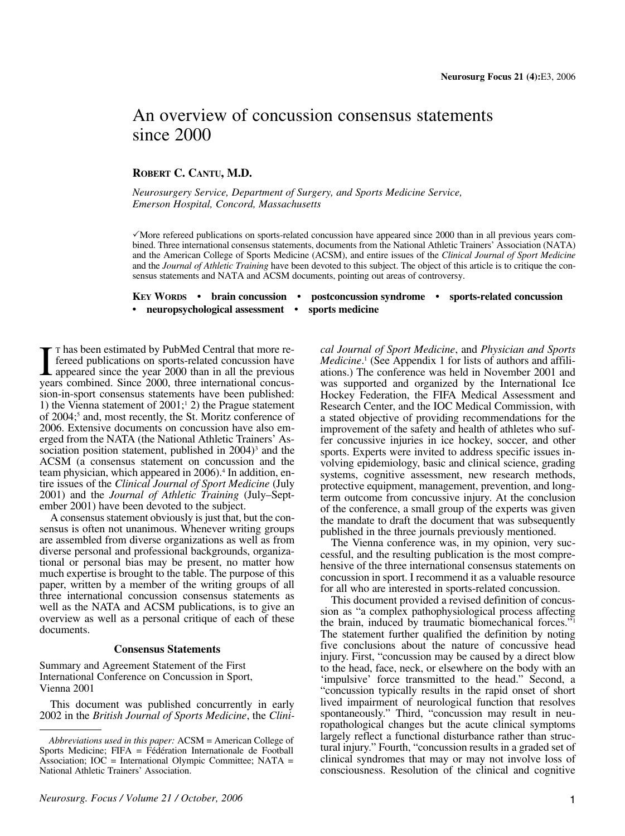# An overview of concussion consensus statements since 2000

# **ROBERT C. CANTU, M.D.**

*Neurosurgery Service, Department of Surgery, and Sports Medicine Service, Emerson Hospital, Concord, Massachusetts* 

 $\sqrt{M}$  More refereed publications on sports-related concussion have appeared since 2000 than in all previous years combined. Three international consensus statements, documents from the National Athletic Trainers' Association (NATA) and the American College of Sports Medicine (ACSM), and entire issues of the *Clinical Journal of Sport Medicine* and the *Journal of Athletic Training* have been devoted to this subject. The object of this article is to critique the consensus statements and NATA and ACSM documents, pointing out areas of controversy.

## **KEY WORDS • brain concussion • postconcussion syndrome • sports-related concussion • neuropsychological assessment • sports medicine**

Thas been estimated by PubMed Central that more refereed publications on sports-related concussion have T has been estimated by PubMed Central that more re-<br>fereed publications on sports-related concussion have<br>appeared since the year 2000 than in all the previous<br>vears combined. Since 2000, three international concusyears combined. Since 2000, three international concussion-in-sport consensus statements have been published: 1) the Vienna statement of  $2001$ ;<sup>1</sup> 2) the Prague statement of 2004;<sup>5</sup> and, most recently, the St. Moritz conference of 2006. Extensive documents on concussion have also emerged from the NATA (the National Athletic Trainers' Association position statement, published in  $2004$ <sup>3</sup> and the ACSM (a consensus statement on concussion and the team physician, which appeared in 2006).<sup>4</sup> In addition, entire issues of the *Clinical Journal of Sport Medicine* (July 2001) and the *Journal of Athletic Training* (July–September 2001) have been devoted to the subject.

A consensus statement obviously is just that, but the consensus is often not unanimous. Whenever writing groups are assembled from diverse organizations as well as from diverse personal and professional backgrounds, organizational or personal bias may be present, no matter how much expertise is brought to the table. The purpose of this paper, written by a member of the writing groups of all three international concussion consensus statements as well as the NATA and ACSM publications, is to give an overview as well as a personal critique of each of these documents.

# **Consensus Statements**

Summary and Agreement Statement of the First International Conference on Concussion in Sport, Vienna 2001

This document was published concurrently in early 2002 in the *British Journal of Sports Medicine*, the *Clini-* *cal Journal of Sport Medicine*, and *Physician and Sports Medicine*. <sup>1</sup> (See Appendix 1 for lists of authors and affiliations.) The conference was held in November 2001 and was supported and organized by the International Ice Hockey Federation, the FIFA Medical Assessment and Research Center, and the IOC Medical Commission, with a stated objective of providing recommendations for the improvement of the safety and health of athletes who suffer concussive injuries in ice hockey, soccer, and other sports. Experts were invited to address specific issues involving epidemiology, basic and clinical science, grading systems, cognitive assessment, new research methods, protective equipment, management, prevention, and longterm outcome from concussive injury. At the conclusion of the conference, a small group of the experts was given the mandate to draft the document that was subsequently published in the three journals previously mentioned.

The Vienna conference was, in my opinion, very successful, and the resulting publication is the most comprehensive of the three international consensus statements on concussion in sport. I recommend it as a valuable resource for all who are interested in sports-related concussion.

This document provided a revised definition of concussion as "a complex pathophysiological process affecting the brain, induced by traumatic biomechanical forces."1 The statement further qualified the definition by noting five conclusions about the nature of concussive head injury. First, "concussion may be caused by a direct blow to the head, face, neck, or elsewhere on the body with an 'impulsive' force transmitted to the head." Second, a "concussion typically results in the rapid onset of short lived impairment of neurological function that resolves spontaneously." Third, "concussion may result in neuropathological changes but the acute clinical symptoms largely reflect a functional disturbance rather than structural injury." Fourth, "concussion results in a graded set of clinical syndromes that may or may not involve loss of consciousness. Resolution of the clinical and cognitive

*Abbreviations used in this paper:* ACSM = American College of Sports Medicine; FIFA = Fédération Internationale de Football Association; IOC = International Olympic Committee; NATA = National Athletic Trainers' Association.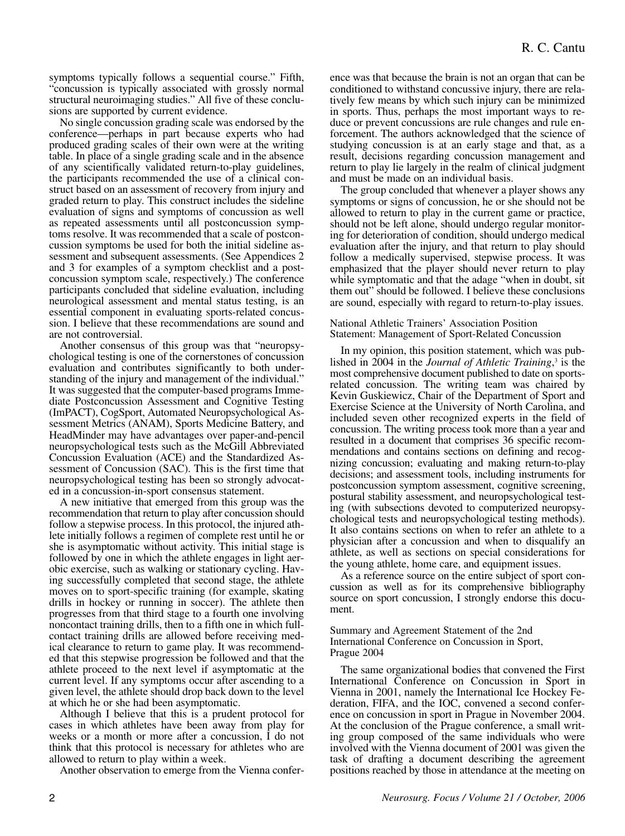symptoms typically follows a sequential course." Fifth, "concussion is typically associated with grossly normal structural neuroimaging studies." All five of these conclusions are supported by current evidence.

No single concussion grading scale was endorsed by the conference—perhaps in part because experts who had produced grading scales of their own were at the writing table. In place of a single grading scale and in the absence of any scientifically validated return-to-play guidelines, the participants recommended the use of a clinical construct based on an assessment of recovery from injury and graded return to play. This construct includes the sideline evaluation of signs and symptoms of concussion as well as repeated assessments until all postconcussion symptoms resolve. It was recommended that a scale of postconcussion symptoms be used for both the initial sideline assessment and subsequent assessments. (See Appendices 2 and 3 for examples of a symptom checklist and a postconcussion symptom scale, respectively.) The conference participants concluded that sideline evaluation, including neurological assessment and mental status testing, is an essential component in evaluating sports-related concus- sion. I believe that these recommendations are sound and are not controversial.

Another consensus of this group was that "neuropsychological testing is one of the cornerstones of concussion evaluation and contributes significantly to both under- standing of the injury and management of the individual." It was suggested that the computer-based programs Immediate Postconcussion Assessment and Cognitive Testing (ImPACT), CogSport, Automated Neuropsychological Assessment Metrics (ANAM), Sports Medicine Battery, and HeadMinder may have advantages over paper-and-pencil neuropsychological tests such as the McGill Abbreviated Concussion Evaluation (ACE) and the Standardized Assessment of Concussion (SAC). This is the first time that neuropsychological testing has been so strongly advocat- ed in a concussion-in-sport consensus statement.

A new initiative that emerged from this group was the recommendation that return to play after concussion should follow a stepwise process. In this protocol, the injured athlete initially follows a regimen of complete rest until he or she is asymptomatic without activity. This initial stage is followed by one in which the athlete engages in light aerobic exercise, such as walking or stationary cycling. Having successfully completed that second stage, the athlete moves on to sport-specific training (for example, skating drills in hockey or running in soccer). The athlete then progresses from that third stage to a fourth one involving noncontact training drills, then to a fifth one in which fullcontact training drills are allowed before receiving medical clearance to return to game play. It was recommended that this stepwise progression be followed and that the athlete proceed to the next level if asymptomatic at the current level. If any symptoms occur after ascending to a given level, the athlete should drop back down to the level at which he or she had been asymptomatic.

Although I believe that this is a prudent protocol for cases in which athletes have been away from play for weeks or a month or more after a concussion, I do not think that this protocol is necessary for athletes who are allowed to return to play within a week.

Another observation to emerge from the Vienna confer-

ence was that because the brain is not an organ that can be conditioned to withstand concussive injury, there are relatively few means by which such injury can be minimized in sports. Thus, perhaps the most important ways to reduce or prevent concussions are rule changes and rule enforcement. The authors acknowledged that the science of studying concussion is at an early stage and that, as a result, decisions regarding concussion management and return to play lie largely in the realm of clinical judgment and must be made on an individual basis.

The group concluded that whenever a player shows any symptoms or signs of concussion, he or she should not be allowed to return to play in the current game or practice, should not be left alone, should undergo regular monitoring for deterioration of condition, should undergo medical evaluation after the injury, and that return to play should follow a medically supervised, stepwise process. It was emphasized that the player should never return to play while symptomatic and that the adage "when in doubt, sit them out" should be followed. I believe these conclusions are sound, especially with regard to return-to-play issues.

## National Athletic Trainers' Association Position Statement: Management of Sport-Related Concussion

In my opinion, this position statement, which was published in 2004 in the *Journal of Athletic Training*, <sup>3</sup> is the most comprehensive document published to date on sportsrelated concussion. The writing team was chaired by Kevin Guskiewicz, Chair of the Department of Sport and Exercise Science at the University of North Carolina, and included seven other recognized experts in the field of concussion. The writing process took more than a year and resulted in a document that comprises 36 specific recommendations and contains sections on defining and recognizing concussion; evaluating and making return-to-play decisions; and assessment tools, including instruments for postconcussion symptom assessment, cognitive screening, postural stability assessment, and neuropsychological testing (with subsections devoted to computerized neuropsychological tests and neuropsychological testing methods). It also contains sections on when to refer an athlete to a physician after a concussion and when to disqualify an athlete, as well as sections on special considerations for the young athlete, home care, and equipment issues.

As a reference source on the entire subject of sport concussion as well as for its comprehensive bibliography source on sport concussion, I strongly endorse this document.

Summary and Agreement Statement of the 2nd International Conference on Concussion in Sport, Prague 2004

The same organizational bodies that convened the First International Conference on Concussion in Sport in Vienna in 2001, namely the International Ice Hockey Federation, FIFA, and the IOC, convened a second conference on concussion in sport in Prague in November 2004. At the conclusion of the Prague conference, a small writing group composed of the same individuals who were involved with the Vienna document of 2001 was given the task of drafting a document describing the agreement positions reached by those in attendance at the meeting on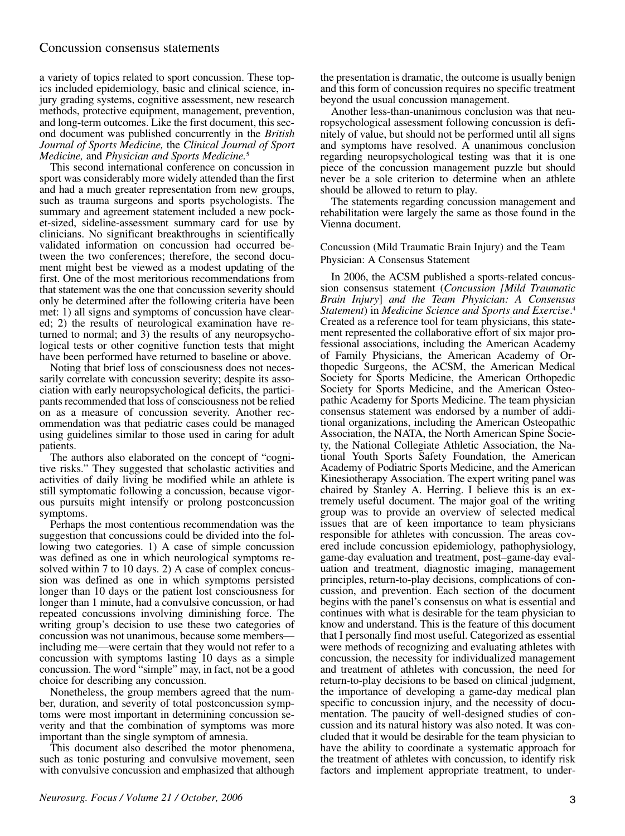# Concussion consensus statements

a variety of topics related to sport concussion. These topics included epidemiology, basic and clinical science, injury grading systems, cognitive assessment, new research methods, protective equipment, management, prevention, and long-term outcomes. Like the first document, this second document was published concurrently in the *British Journal of Sports Medicine,* the *Clinical Journal of Sport Medicine,* and *Physician and Sports Medicine.*<sup>5</sup>

This second international conference on concussion in sport was considerably more widely attended than the first and had a much greater representation from new groups, such as trauma surgeons and sports psychologists. The summary and agreement statement included a new pocket-sized, sideline-assessment summary card for use by clinicians. No significant breakthroughs in scientifically validated information on concussion had occurred between the two conferences; therefore, the second document might best be viewed as a modest updating of the first. One of the most meritorious recommendations from that statement was the one that concussion severity should only be determined after the following criteria have been met: 1) all signs and symptoms of concussion have cleared; 2) the results of neurological examination have returned to normal; and 3) the results of any neuropsycho- logical tests or other cognitive function tests that might have been performed have returned to baseline or above.

Noting that brief loss of consciousness does not necessarily correlate with concussion severity; despite its association with early neuropsychological deficits, the partici- pants recommended that loss of consciousness not be relied on as a measure of concussion severity. Another recommendation was that pediatric cases could be managed using guidelines similar to those used in caring for adult patients.

The authors also elaborated on the concept of "cognitive risks." They suggested that scholastic activities and activities of daily living be modified while an athlete is still symptomatic following a concussion, because vigor- ous pursuits might intensify or prolong postconcussion symptoms.

Perhaps the most contentious recommendation was the suggestion that concussions could be divided into the following two categories. 1) A case of simple concussion was defined as one in which neurological symptoms re-solved within 7 to 10 days. 2) A case of complex concus-<br>sion was defined as one in which symptoms persisted longer than 10 days or the patient lost consciousness for longer than 1 minute, had a convulsive concussion, or had repeated concussions involving diminishing force. The writing group's decision to use these two categories of concussion was not unanimous, because some members including me—were certain that they would not refer to a concussion with symptoms lasting 10 days as a simple concussion. The word "simple" may, in fact, not be a good choice for describing any concussion.

Nonetheless, the group members agreed that the number, duration, and severity of total postconcussion symptoms were most important in determining concussion severity and that the combination of symptoms was more important than the single symptom of amnesia.

This document also described the motor phenomena, such as tonic posturing and convulsive movement, seen with convulsive concussion and emphasized that although the presentation is dramatic, the outcome is usually benign and this form of concussion requires no specific treatment beyond the usual concussion management.

Another less-than-unanimous conclusion was that neuropsychological assessment following concussion is definitely of value, but should not be performed until all signs and symptoms have resolved. A unanimous conclusion regarding neuropsychological testing was that it is one piece of the concussion management puzzle but should never be a sole criterion to determine when an athlete should be allowed to return to play.

The statements regarding concussion management and rehabilitation were largely the same as those found in the Vienna document.

# Concussion (Mild Traumatic Brain Injury) and the Team Physician: A Consensus Statement

In 2006, the ACSM published a sports-related concussion consensus statement (*Concussion [Mild Traumatic Brain Injury*] *and the Team Physician: A Consensus Statement*) in *Medicine Science and Sports and Exercise*. 4 Created as a reference tool for team physicians, this statement represented the collaborative effort of six major professional associations, including the American Academy of Family Physicians, the American Academy of Orthopedic Surgeons, the ACSM, the American Medical Society for Sports Medicine, the American Orthopedic Society for Sports Medicine, and the American Osteopathic Academy for Sports Medicine. The team physician consensus statement was endorsed by a number of additional organizations, including the American Osteopathic Association, the NATA, the North American Spine Society, the National Collegiate Athletic Association, the National Youth Sports Safety Foundation, the American Academy of Podiatric Sports Medicine, and the American Kinesiotherapy Association. The expert writing panel was chaired by Stanley A. Herring. I believe this is an extremely useful document. The major goal of the writing group was to provide an overview of selected medical issues that are of keen importance to team physicians responsible for athletes with concussion. The areas covered include concussion epidemiology, pathophysiology, game-day evaluation and treatment, post–game-day evaluation and treatment, diagnostic imaging, management principles, return-to-play decisions, complications of concussion, and prevention. Each section of the document begins with the panel's consensus on what is essential and continues with what is desirable for the team physician to know and understand. This is the feature of this document that I personally find most useful. Categorized as essential were methods of recognizing and evaluating athletes with concussion, the necessity for individualized management and treatment of athletes with concussion, the need for return-to-play decisions to be based on clinical judgment, the importance of developing a game-day medical plan specific to concussion injury, and the necessity of documentation. The paucity of well-designed studies of concussion and its natural history was also noted. It was concluded that it would be desirable for the team physician to have the ability to coordinate a systematic approach for the treatment of athletes with concussion, to identify risk factors and implement appropriate treatment, to under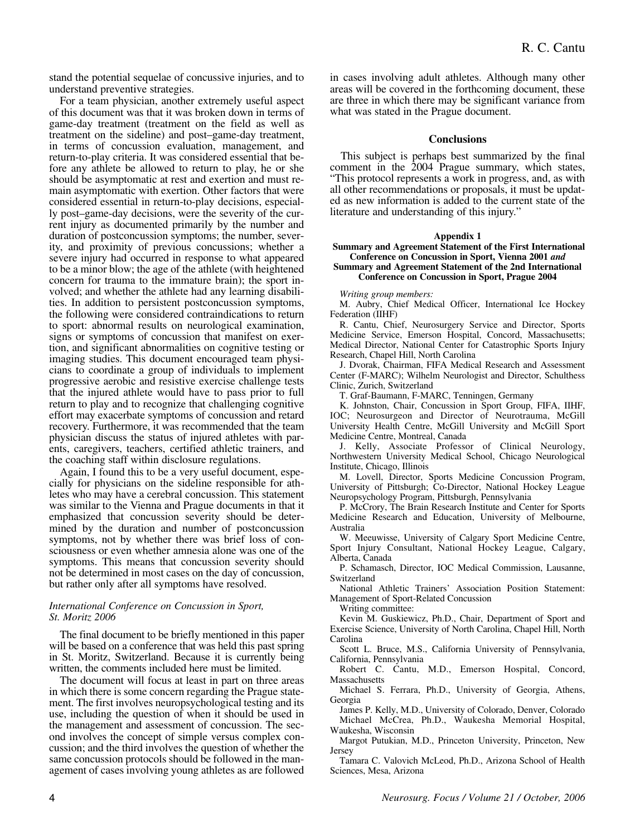stand the potential sequelae of concussive injuries, and to understand preventive strategies.

For a team physician, another extremely useful aspect of this document was that it was broken down in terms of game-day treatment (treatment on the field as well as treatment on the sideline) and post–game-day treatment, in terms of concussion evaluation, management, and return-to-play criteria. It was considered essential that before any athlete be allowed to return to play, he or she should be asymptomatic at rest and exertion and must remain asymptomatic with exertion. Other factors that were considered essential in return-to-play decisions, especially post–game-day decisions, were the severity of the current injury as documented primarily by the number and duration of postconcussion symptoms; the number, severity, and proximity of previous concussions; whether a severe injury had occurred in response to what appeared to be a minor blow; the age of the athlete (with heightened concern for trauma to the immature brain); the sport involved; and whether the athlete had any learning disabilities. In addition to persistent postconcussion symptoms, the following were considered contraindications to return to sport: abnormal results on neurological examination, signs or symptoms of concussion that manifest on exertion, and significant abnormalities on cognitive testing or imaging studies. This document encouraged team physicians to coordinate a group of individuals to implement progressive aerobic and resistive exercise challenge tests that the injured athlete would have to pass prior to full return to play and to recognize that challenging cognitive effort may exacerbate symptoms of concussion and retard recovery. Furthermore, it was recommended that the team physician discuss the status of injured athletes with parents, caregivers, teachers, certified athletic trainers, and the coaching staff within disclosure regulations.

Again, I found this to be a very useful document, especially for physicians on the sideline responsible for athletes who may have a cerebral concussion. This statement was similar to the Vienna and Prague documents in that it emphasized that concussion severity should be determined by the duration and number of postconcussion symptoms, not by whether there was brief loss of consciousness or even whether amnesia alone was one of the symptoms. This means that concussion severity should not be determined in most cases on the day of concussion, but rather only after all symptoms have resolved.

# *International Conference on Concussion in Sport, St. Moritz 2006*

The final document to be briefly mentioned in this paper will be based on a conference that was held this past spring in St. Moritz, Switzerland. Because it is currently being written, the comments included here must be limited.

The document will focus at least in part on three areas in which there is some concern regarding the Prague statement. The first involves neuropsychological testing and its use, including the question of when it should be used in the management and assessment of concussion. The second involves the concept of simple versus complex concussion; and the third involves the question of whether the same concussion protocols should be followed in the management of cases involving young athletes as are followed

in cases involving adult athletes. Although many other areas will be covered in the forthcoming document, these are three in which there may be significant variance from what was stated in the Prague document.

## **Conclusions**

This subject is perhaps best summarized by the final comment in the 2004 Prague summary, which states, "This protocol represents a work in progress, and, as with all other recommendations or proposals, it must be updated as new information is added to the current state of the literature and understanding of this injury."

#### **Appendix 1**

#### **Summary and Agreement Statement of the First International Conference on Concussion in Sport, Vienna 2001** *and* **Summary and Agreement Statement of the 2nd International Conference on Concussion in Sport, Prague 2004**

*Writing group members:*

M. Aubry, Chief Medical Officer, International Ice Hockey Federation (IIHF)

R. Cantu, Chief, Neurosurgery Service and Director, Sports Medicine Service, Emerson Hospital, Concord, Massachusetts; Medical Director, National Center for Catastrophic Sports Injury Research, Chapel Hill, North Carolina

J. Dvorak, Chairman, FIFA Medical Research and Assessment Center (F-MARC); Wilhelm Neurologist and Director, Schulthess Clinic, Zurich, Switzerland

T. Graf-Baumann, F-MARC, Tenningen, Germany

K. Johnston, Chair, Concussion in Sport Group, FIFA, IIHF, IOC; Neurosurgeon and Director of Neurotrauma, McGill University Health Centre, McGill University and McGill Sport Medicine Centre, Montreal, Canada

J. Kelly, Associate Professor of Clinical Neurology, Northwestern University Medical School, Chicago Neurological Institute, Chicago, Illinois

M. Lovell, Director, Sports Medicine Concussion Program, University of Pittsburgh; Co-Director, National Hockey League Neuropsychology Program, Pittsburgh, Pennsylvania

P. McCrory, The Brain Research Institute and Center for Sports Medicine Research and Education, University of Melbourne, Australia

W. Meeuwisse, University of Calgary Sport Medicine Centre, Sport Injury Consultant, National Hockey League, Calgary, Alberta, Canada

P. Schamasch, Director, IOC Medical Commission, Lausanne, Switzerland

National Athletic Trainers' Association Position Statement: Management of Sport-Related Concussion

Writing committee:

Kevin M. Guskiewicz, Ph.D., Chair, Department of Sport and Exercise Science, University of North Carolina, Chapel Hill, North Carolina

Scott L. Bruce, M.S., California University of Pennsylvania, California, Pennsylvania

Robert C. Cantu, M.D., Emerson Hospital, Concord, Massachusetts

Michael S. Ferrara, Ph.D., University of Georgia, Athens, Georgia

James P. Kelly, M.D., University of Colorado, Denver, Colorado Michael McCrea, Ph.D., Waukesha Memorial Hospital, Waukesha, Wisconsin

Margot Putukian, M.D., Princeton University, Princeton, New Jersey

Tamara C. Valovich McLeod, Ph.D., Arizona School of Health Sciences, Mesa, Arizona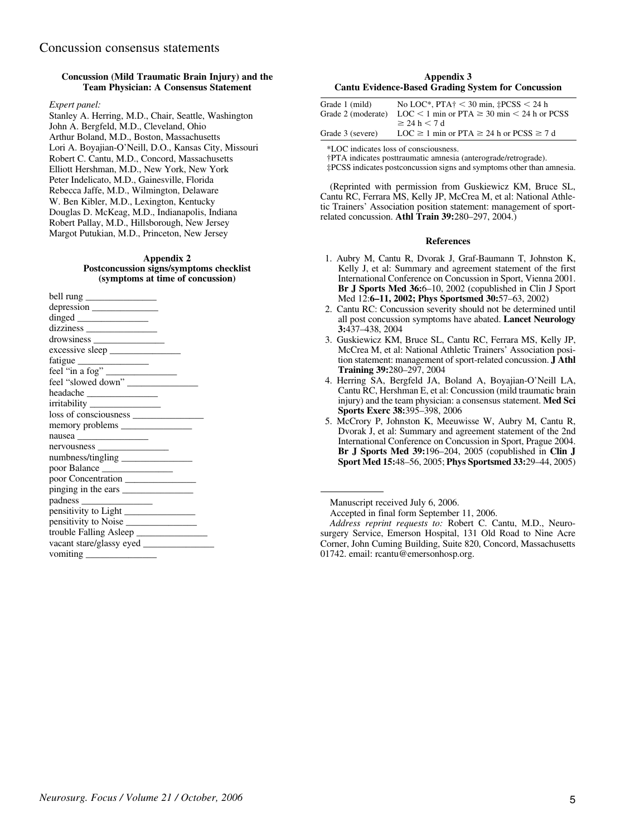## **Concussion (Mild Traumatic Brain Injury) and the Team Physician: A Consensus Statement**

*Expert panel:*

Stanley A. Herring, M.D., Chair, Seattle, Washington John A. Bergfeld, M.D., Cleveland, Ohio Arthur Boland, M.D., Boston, Massachusetts Lori A. Boyajian-O'Neill, D.O., Kansas City, Missouri Robert C. Cantu, M.D., Concord, Massachusetts Elliott Hershman, M.D., New York, New York Peter Indelicato, M.D., Gainesville, Florida Rebecca Jaffe, M.D., Wilmington, Delaware W. Ben Kibler, M.D., Lexington, Kentucky Douglas D. McKeag, M.D., Indianapolis, Indiana Robert Pallay, M.D., Hillsborough, New Jersey Margot Putukian, M.D., Princeton, New Jersey

#### **Appendix 2 Postconcussion signs/symptoms checklist (symptoms at time of concussion)**

| bell rung                         |
|-----------------------------------|
|                                   |
| dinged _______________            |
|                                   |
|                                   |
|                                   |
|                                   |
|                                   |
|                                   |
| headache                          |
| irritability __________________   |
|                                   |
|                                   |
|                                   |
|                                   |
| numbness/tingling _______________ |
| poor Balance                      |
| poor Concentration                |
|                                   |
|                                   |
| pensitivity to Light              |
| pensitivity to Noise              |
| trouble Falling Asleep            |
|                                   |
|                                   |
|                                   |

| Appendix 3                                                |  |
|-----------------------------------------------------------|--|
| <b>Cantu Evidence-Based Grading System for Concussion</b> |  |

| Grade 1 (mild)     | No LOC*, PTA $\dagger$ < 30 min, $\sharp$ PCSS < 24 h  |
|--------------------|--------------------------------------------------------|
| Grade 2 (moderate) | $LOC < 1$ min or PTA $\geq 30$ min $< 24$ h or PCSS    |
|                    | $\geq$ 24 h $\lt$ 7 d                                  |
| Grade 3 (severe)   | LOC $\geq$ 1 min or PTA $\geq$ 24 h or PCSS $\geq$ 7 d |

\*LOC indicates loss of consciousness.

†PTA indicates posttraumatic amnesia (anterograde/retrograde).

‡PCSS indicates postconcussion signs and symptoms other than amnesia.

(Reprinted with permission from Guskiewicz KM, Bruce SL, Cantu RC, Ferrara MS, Kelly JP, McCrea M, et al: National Athletic Trainers' Association position statement: management of sportrelated concussion. **Athl Train 39:**280–297, 2004.)

## **References**

- 1. Aubry M, Cantu R, Dvorak J, Graf-Baumann T, Johnston K, Kelly J, et al: Summary and agreement statement of the first International Conference on Concussion in Sport, Vienna 2001. **Br J Sports Med 36:**6–10, 2002 (copublished in Clin J Sport Med 12:**6–11, 2002; Phys Sportsmed 30:**57–63, 2002)
- 2. Cantu RC: Concussion severity should not be determined until all post concussion symptoms have abated. **Lancet Neurology 3:**437–438, 2004
- 3. Guskiewicz KM, Bruce SL, Cantu RC, Ferrara MS, Kelly JP, McCrea M, et al: National Athletic Trainers' Association position statement: management of sport-related concussion. **J Athl Training 39:**280–297, 2004
- 4. Herring SA, Bergfeld JA, Boland A, Boyajian-O'Neill LA, Cantu RC, Hershman E, et al: Concussion (mild traumatic brain injury) and the team physician: a consensus statement. **Med Sci Sports Exerc 38:**395–398, 2006
- 5. McCrory P, Johnston K, Meeuwisse W, Aubry M, Cantu R, Dvorak J, et al: Summary and agreement statement of the 2nd International Conference on Concussion in Sport, Prague 2004. **Br J Sports Med 39:**196–204, 2005 (copublished in **Clin J Sport Med 15:**48–56, 2005; **Phys Sportsmed 33:**29–44, 2005)

Manuscript received July 6, 2006.

Accepted in final form September 11, 2006.

*Address reprint requests to:* Robert C. Cantu, M.D., Neurosurgery Service, Emerson Hospital, 131 Old Road to Nine Acre Corner, John Cuming Building, Suite 820, Concord, Massachusetts 01742. email: rcantu@emersonhosp.org.